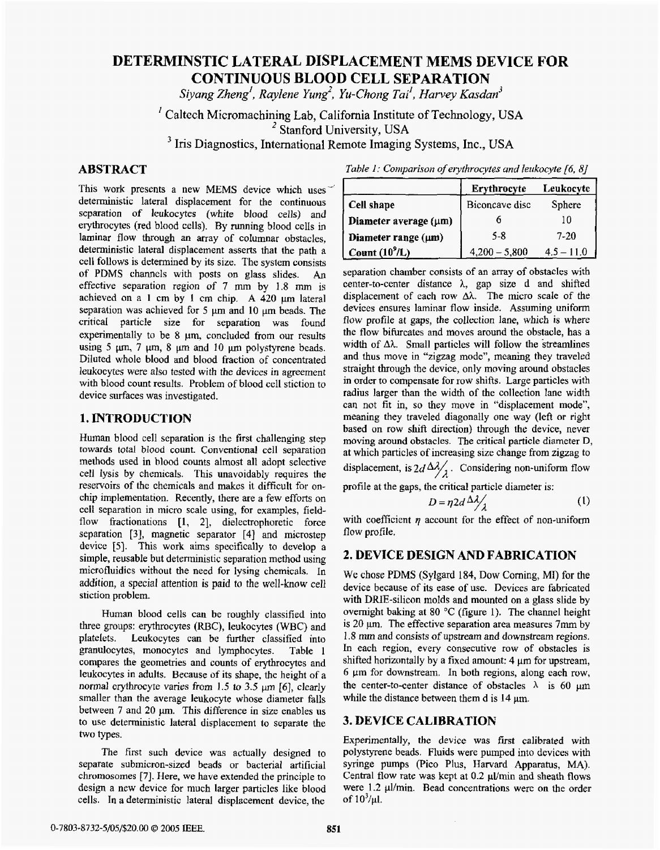# **DETERMINSTIC LATERAL DISPLACEMENT MEMS DEVICE FOR CONTINUOUS BLOOD CELL SEPARATION**

*Siyang Zhmg', Raylene Yung', Yu-Chong Tail, Harvey Kasdan3* 

Caltech Micromachining Lab, California Institute **of** Technology, **USA**  *I <sup>2</sup>***Stanford** University, **USA Ins** Diagnostics, International **Remote** Imaging **Systems,** Inc., **USA** 

# **ABSTRACT**

This work presents a new **MEMS** device which uses deterministic lateral displacement for the continuous separation **of** leukocytes (white blood cells) and erythrocytes (red blood cells). By running blood cells in laminar flow through **an** array of columnar obstacles, deterministic lateral displacement asserts that the path a cell follows is determined by its size. **The** system consists of PDMS channels with posts on glass slides. An effective separation region of 7 mm by 1.8 mm **is**  achieved on a **1** cm by **I** cm chip, **A** 420 pm lateral separation was achieved for 5  $\mu$ m and 10  $\mu$ m beads. The critical particle size for separation was found experimentally to be 8  $\mu$ m, concluded from our results using  $5 \mu m$ ,  $7 \mu m$ ,  $8 \mu m$  and  $10 \mu m$  polystyrene beads. Diluted whole blood and blood fraction of concentrated leukocytes were also tested with the devices in agreement with blood count results. Problem of blood cell stiction to device surfaces was investigated.

### **1.lNTRODUCTION**

Human blood cell separation **is** the first challenging step **towards** *total* **bIood** count. Conventional cell separation methods used in blood counts almost all adopt selective cell Iysis by chemicals. This unavoidably requires the reservoirs of the chemicals and makes it difficult for onchip implementation. Recently, there are a few efforts on cell separation in micro scale using, for examples, fieldflow fractionations [1, 2], dielectrophoretic force separation **[3],** magnetic separator **[4]** and microstep device [5]. This work aims specifically to develop a simple, reusable but deterministic separation method using microfluidics without the need for **lysing** chemicals. In addition, a special attention **is** paid to the **well-know** cell stiction problem.

Human blood cells can **be** roughly classified into three groups: erythrocytes (RBC), leukocytes (WBC) and platelets. Leukocytes can be further classified into granulocytes, monocytes and lymphocytes. Table 1 compares the geometries and counts of erythrocytes and leukocytes in adults. Because **of** its shape, the height **of** a normal erythrocyte varies from 1.5 to **3.5** *pm [6],* clearly smaller than the average leukocyte whose diameter falls between 7 and 20  $\mu$ m. This difference in size enables us to **use** deterministic lateral displacement to separate the two **types.** 

The first such device was actually designed to separate submicron-sized beads or bacterial artificial **chromosomes [7].** Here, we have extended **the** principle to design a new device for much **larger** particles like blood cells. In a deterministic lateral displacement device, **the** 

*Table 1: Comparison of erythrocytes and leukocyte [6, 8]* 

|                          | Erythrocyte     | Leukocyte      |
|--------------------------|-----------------|----------------|
| Cell shape               | Biconcave disc  | Sphere         |
| Diameter average (um)    |                 |                |
| Diameter range $(\mu m)$ | $5 - 8$         | 7-20           |
| Count $(10^9/L)$         | $4,200 - 5,800$ | 4.5<br>$-11.0$ |

separation chamber consists of an array of obstacles with center-to-center distance  $\lambda$ , gap size d and shifted displacement of each row  $\Delta\lambda$ . The micro scale of the devices ensures laminar flow inside. Assuming uniform flow profile at gaps, the collection lane, which is where the flow bifurcates and moves around the obstacle, has a width of  $\Delta\lambda$ . Small particles will follow the streamlines and thus move in "zigzag mode", meaning they traveled straight through the device, only moving around obstacles in order to compensate for row shifts. Large particles with radius larger than the width of the collection lane width can not fit in, so they move in "displacement mode", meaning they traveled diagonally one way (left or right based on row shift direction) through the device, never moving around obstacles. The critical particle diameter D, at which particles of increasing size change from zigzag to displacement, is  $2d \frac{\Delta \lambda}{\lambda}$ . Considering non-uniform flow profile at the gaps, the critical particle diameter is:

$$
D = \eta 2d \stackrel{\wedge}{\longrightarrow} \frac{\lambda}{\lambda} \tag{1}
$$

with coefficient  $\eta$  account for the effect of non-uniform flow profile.

# **2. DEVICE DESIGN AND FABRICATION**

**We** chose **PDMS** (Sylgard **184,** Dow Corning, **MI)** for the device because of its ease of use. Devices are fabricated with DRIE-silicon molds and mounted on a glass slide by overnight baking at **80** *"C* (figure 1). The channel height is **20 p. The** effective separation area **measures** 7mm by 1.8 mm and consists of upstream **and** downstream regions. In each region, every consecutive row of obstacles is shifted horizontally by a fixed amount:  $4 \mu m$  for upstream, **6 pm** for downstream. In both regions, along each **row,**  the center-to-center distance of obstacles  $\lambda$  is 60  $\mu$ m while the distance between them d is  $14 \mu m$ .

# **3. DEVICE CALIBRATION**

Experimentally, **the** device was first calibrated **with**  polystyrene beads. Fluids were pumped into devices with syringe pumps (Pico Plus, Harvard Apparatus, MA). Central flow rate was kept at 0.2  $\mu$ *Vmin and sheath flows* were 1.2  $\mu$ I/min. Bead concentrations were on the order of  $10^3/\mu$ l.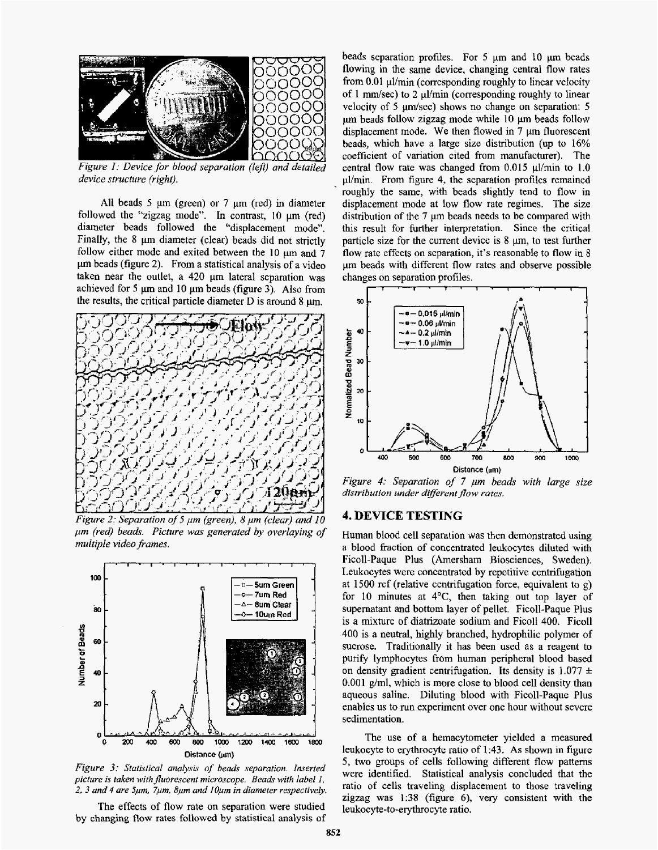

*Figure I: Device far blood separation (lep) and detailed device structure (right).* 

**All** beads *5* ym (green) **or 7 pm** (red) in diameter followed the "zigzag mode". In contrast, **10** pm (red) diameter beads followed the "displacement mode". Finally, the 8  $\mu$ m diameter (clear) beads did not strictly follow either mode and exited between the 10  $\mu$ m and  $\bar{7}$ pm beads (figure **2).** From a statistical analysis of a video taken near the outlet, a **420 pm** lateral separation was achieved for **5** pm and 10 **pm** beads (figure **3). Also** from the results, the critical particle diameter **D** is around **8 pm,** 



Figure 2: Separation of 5  $\mu$ m (green), 8  $\mu$ m (clear) and 10 *pm (red) bed. Picture was generated by overlaying of multiple video frames.* 



*Figure 3: Statistical analysis of beads separation. Inserted picfure* **is** *taken with fluorescent microscope. Beads with label I, 2, 3 and 4 are Spm, 7pm, 8pn and I Opm in diameter respectively.* 

The effects of flow rate on separation were studied **by changing flow rates followed** by **statistical** analysis **of**  beads separation profiles. For 5 **pm** and 10 **pm** beads flowing in the same device, changing central **flow** rates from 0.01 ul/min (corresponding roughly to linear velocity of 1  $\text{mm/sec}$ ) to 2  $\mu$ *V*min (corresponding roughly to linear velocity of 5  $\mu$ m/sec) shows no change on separation: 5 pm beads follow zigzag mode white 10 **pm** beads follow displacement mode. We then flowed in 7 **pm** fluorescent beads, which have a large size distribution **(up** to **16%**  coefficient of variation cited from manufacturer). The central flow rate was changed from 0.015  $\mu$ I/min to 1.0 pLVmin. From figure 4, the separation profiles remained roughly the same, with beads slightly tend to flow in displacement mode at low flow rate regimes. The size distribution **of** the 7 **pm** beads needs to be compared with this result for further interpretation. Since the critical particle size for the current device is  $8 \mu m$ , to test further flow rate effects on separation, it's reasonable to flow in 8 pn beads with different flow rates and observe possible changes on separation profiles.



*Figure 4: Separation of* **7** *pm beads with large size*  distribution under different flow rates.

### **4. DEVICE TESTING**

Human blood cell separation was then demonstrated using **a** blood fraction **of** concentrated leukocytes diluted with Ficoll-Paque Plus (Amersham Biosciences, Sweden). Leukocytes were concentrated by repetitive centrifugation at 1500 rcf (relative centrifugation force, equivalent **to g)**  for 10 minutes at **4"C,** then taking out top layer of supernatant and bottom layer of pellet. Ficoll-Paque Plus is **a** mixture of diatrizoate sodium and FicoU **400.** Ficoll 400 is a neutral, highly branched, hydrophilic polymer **of**  sucrose. Traditionally it has been used as a reagent to **purify** lymphocytes from human peripheral blood based on density gradient centrifugation. Its density is  $1.077 \pm$ 0.001 g/ml, which is more close to blood cell density than aqueous saline. Diluting blood with Ficoll-Paque Plus enables us to run experiment over one hour without severe sedimentation.

The use of a hemacytometer yielded a measured leukocyte to erythrocyte ratio of 1:43. **As** shown in figure 5, two groups of cells following different flow patterns were identified. Statistical analysis concluded that the ratio of cells traveling displacement to those traveling zigzag was 1:38 (figure 6), very consistent with the leukocyte-to-erythrocyte ratio.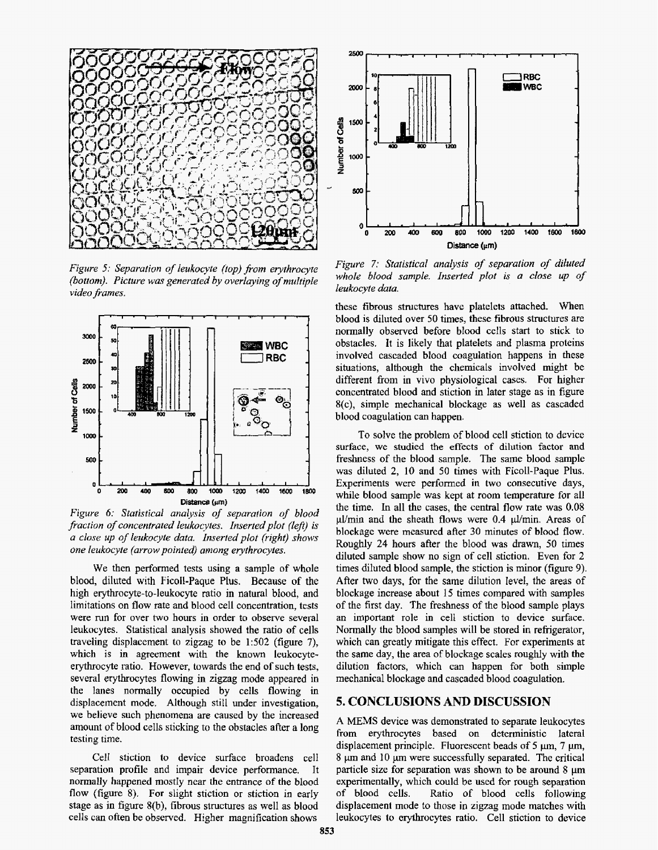

*Figure 5: Separation of leukocyte (top) from erythrocyte {bottom). Picture was genera fed by overlaying of multiple video frames.* 



*Figure 6: Statistical analysis of separation of blood fraction of concentrated leukocytes. Inserted plot (lej) is <sup>U</sup>close up of leukocyte data. Insertedplot (right) shows one leukocyte (arrow pointed) arnong evyrhrocytes.* 

We then performed tests using a sample **of** whole blood, diluted **with** Ficoll-Paque Plus. **Because** of the high **erythrocyte-to-leukocyte** ratio in natural blood, and limitations on flow rate and blood cell concentration, tests were run for over two hours in order to observe several leukocytes. Statistical analysis showed the ratio of cells traveling displacement to zigzag to be  $1:502$  (figure 7), which **is** in agreement with the known leukocyteerythrocyte ratio. However, towards the end of such tests, several erythrocytes flowing in zigzag mode appeared in the lanes normally occupied by cells flowing in displacement mode. Although still under investigation, we believe such phenomena are caused by the increased amount of blood ceIls sticking to the obstacles after a long testing time.

CelI stiction to device surface broadens cell separation profile and impair device performance. It normally happened mostly near the entrance of the blood flow (figure **8).** For slight stiction or stiction in early stage as in figure  $8(b)$ , fibrous structures as well as blood cells can often be observed. Higher magnification shows



*Figure 7: StatisticaI analysis of separation of diluted whole blood sample. Inserted plot is a close up of leukocyte duta.* 

these fibrous structures have platelets attached. When blood is diluted over 50 times, these fibrous structures are normally observed before blood cells start to stick to obstacles, it is likely that platelets and plasma proteins involved cascaded blood coagulation happens in these situations, although the chemicals involved might be different from in vivo physiological cases. For higher concentrated blood **and** stiction in later stage **as** in figure X(c), simple mechanical blockage as well **as** cascaded blood coagulation can happen.

To solve the problem of blood cell stiction to device surface, **we** studied **the** effects **of** dilution factor and freshness of the blood sample. The same blood sample was diluted **2,** 10 and 50 times with Ficoll-Paque **Plus.**  Experiments were performed in two consecutive days, while blood sample was kept at **room** temperature for **all**  the time. In all the cases, the central flow rate was 0.08 ul/min and the sheath flows were 0.4  $\mu$ l/min. Areas of blockage were measured after 30 minutes of **blood** flow. Roughly **24** hours after the blood was drawn, 50 times diluted sample show no sign **of** cell stiction. Even for **2**  times diluted blood sample, the stiction is minor (figure **9).**  After two days, for **the** same dilution Ievel, the areas of blockage increase about 15 times compared with samples of the first day. The freshness of the blood sample plays an important role in cell stiction to device surface. Normally the blood samples will be stored in refrigerator, which can greatly mitigate this effect. For experiments **at**  the same day, the area of blockage scales roughly with the dilution factors, which can happen for both simple mechanical blockage **and** cascaded blood coagulation.

#### **5. CONCLUSIONS AND DISCUSSION**

**A MEMS** device was demonstrated to separate leukocytes **from** erythrocytes based on deterministic lateral displacement principle. Fluorescent beads of 5  $\mu$ m, 7  $\mu$ m, 8  $\mu$ m and 10  $\mu$ m were successfully separated. The critical particle size for separation was shown to be around 8  $\mu$ m experimentally, which could be used for rough separation of blood cells. Ratio of blood cells following displacement mode to those **in zigzag** mode matches **with**  leukocytes to erythrocytes ratio. Cell stiction to device